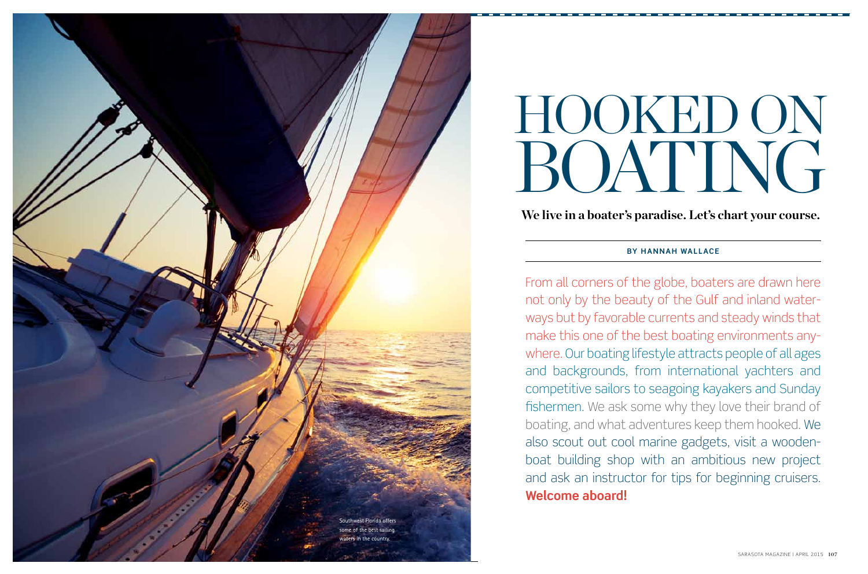From all corners of the globe, boaters are drawn here not only by the beauty of the Gulf and inland water ways but by favorable currents and steady winds that make this one of the best boating environments any where. Our boating lifestyle attracts people of all ages and backgrounds, from international yachters and competitive sailors to seagoing kayakers and Sunday fishermen. We ask some why they love their brand of boating, and what adventures keep them hooked. We also scout out cool marine gadgets, visit a woodenboat building shop with an ambitious new project and ask an instructor for tips for beginning cruisers. **Welcome aboard!**



# HOOKED ON BOATING

**We live in a boater's paradise. Let's chart your course.**

## **By Hanna h Wallace**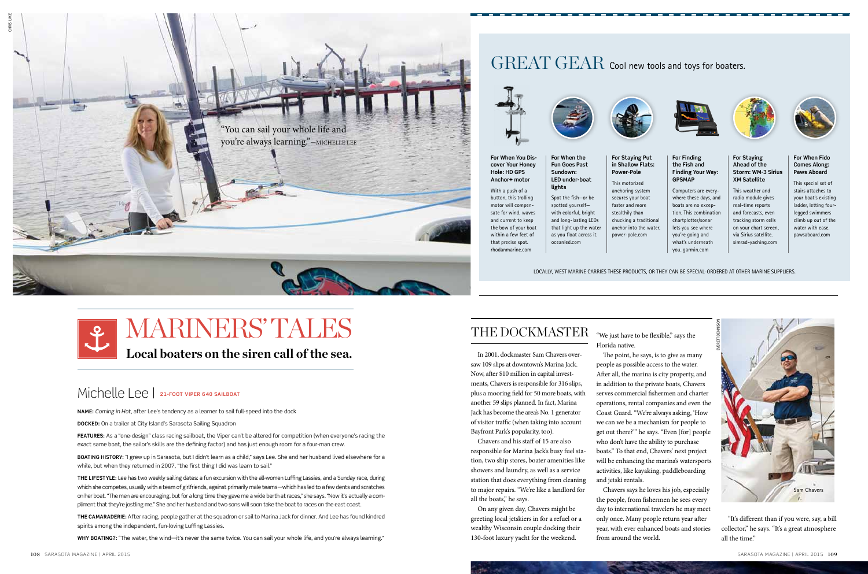## Michelle Lee | **21-foot Viper 640 sailboat**

**Name:** *Coming in Hot*, after Lee's tendency as a learner to sail full-speed into the dock

**Docked:** On a trailer at City Island's Sarasota Sailing Squadron

**Boating history:** "I grew up in Sarasota, but I didn't learn as a child," says Lee. She and her husband lived elsewhere for a while, but when they returned in 2007, "the first thing I did was learn to sail."

**Features:** As a "one-design" class racing sailboat, the Viper can't be altered for competition (when everyone's racing the exact same boat, the sailor's skills are the defining factor) and has just enough room for a four-man crew.

**The lifestyle:** Lee has two weekly sailing dates: a fun excursion with the all-women Luffing Lassies, and a Sunday race, during which she competes, usually with a team of girlfriends, against primarily male teams—which has led to a few dents and scratches on her boat. "The men are encouraging, but for a long time they gave me a wide berth at races," she says. "Now it's actually a compliment that they're jostling me." She and her husband and two sons will soon take the boat to races on the east coast.

**The camaraderie:** After racing, people gather at the squadron or sail to Marina Jack for dinner. And Lee has found kindred spirits among the independent, fun-loving Luffing Lassies.

**Why boating?:** "The water, the wind—it's never the same twice. You can sail your whole life, and you're always learning."

## THE DOCKMASTER "We just have to be flexible," says the

**For When You Discover Your Honey Hole: HD GPS Anchor+ motor** With a push of a **lights**

button, this trolling motor will compensate for wind, waves and current to keep the bow of your boat within a few feet of that precise spot. rhodanmarine.com

#### **For When the Fun Goes Past Sundown: LED under-boat For Staying Put in Shallow Flats: Power-Pole**

Spot the fish—or be spotted yourself with colorful, bright and long-lasting LEDs that light up the water as you float across it. oceanled.com

This motorized anchoring system secures your boat faster and more stealthily than chucking a traditional anchor into the water. power-pole.com

#### **For Finding the Fish and Finding Your Way: GPSMAP**

Computers are everywhere these days, and boats are no exception. This combination chartplotter/sonar lets you see where you're going and what's underneath you. garmin.com



#### **For Staying Ahead of the Storm: WM-3 Sirius XM Satellite**

This weather and radio module gives real-time reports and forecasts, even tracking storm cells on your chart screen, via Sirius satellite. simrad-yaching.com



#### **For When Fido Comes Along: Paws Aboard**

This special set of stairs attaches to your boat's existing ladder, letting fourlegged swimmers climb up out of the water with ease. pawsaboard.com

In 2001, dockmaster Sam Chavers oversaw 109 slips at downtown's Marina Jack. Now, after \$10 million in capital investments, Chavers is responsible for 316 slips, plus a mooring field for 50 more boats, with another 59 slips planned. In fact, Marina Jack has become the area's No. 1 generator of visitor traffic (when taking into account Bayfront Park's popularity, too).

Chavers and his staff of 15 are also responsible for Marina Jack's busy fuel station, two ship stores, boater amenities like showers and laundry, as well as a service station that does everything from cleaning to major repairs. "We're like a landlord for all the boats," he says.

On any given day, Chavers might be greeting local jetskiers in for a refuel or a wealthy Wisconsin couple docking their 130-foot luxury yacht for the weekend.

Florida native.

The point, he says, is to give as many people as possible access to the water. After all, the marina is city property, and in addition to the private boats, Chavers serves commercial fishermen and charter operations, rental companies and even the Coast Guard. "We're always asking, 'How we can we be a mechanism for people to get out there?'" he says. "Even [for] people who don't have the ability to purchase boats." To that end, Chavers' next project will be enhancing the marina's watersports activities, like kayaking, paddleboarding and jetski rentals.

Chavers says he loves his job, especially the people, from fishermen he sees every day to international travelers he may meet only once. Many people return year after year, with ever enhanced boats and stories from around the world.



**Local boaters on the siren call of the sea.**

"It's different than if you were, say, a bill collector," he says. "It's a great atmosphere all the time."



## GREAT GEAR Cool new tools and toys for boaters.





Locally, West Marine carries these products, or they can be special-ordered at other marine suppliers.



## **L MARINERS' TALES**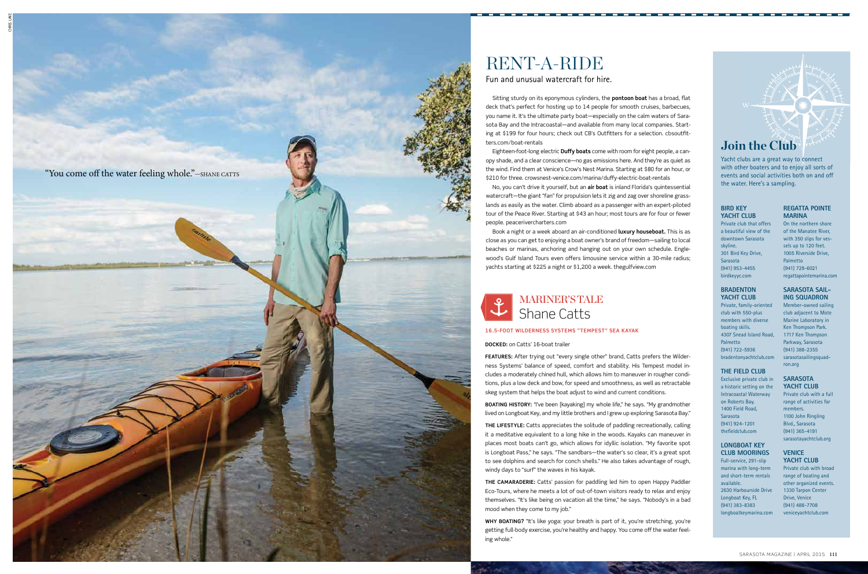#### **Bird Key Yacht Clu b**

Private club that offers a beautiful view of the downtown Sarasota skyline. 301 Bird Key Drive, Sarasota (941) 953-4455 birdkeyyc.com

## **Bradenton Yacht Club**

Private, family-oriented club with 550-plus members with diverse boating skills. 4307 Snead Island Road, Palmetto (941) 722-5936 bradentonyachtclub.com

## **The Field Club**

Exclusive private club in a historic setting on the Intracoastal Waterway on Roberts Bay. 1400 Field Road, Sarasota (941) 924-1201 thefieldclub.com

## **Longboat Key Club Moorings**

Full-service, 291-slip marina with long-term and short-term rentals available. 2630 Harbourside Drive Longboat Key, FL (941) 383-8383 longboatkeymarina.com

## **16.5-foot Wil derness Systems " Tempest" sea kayak**

**Docke d:** on Catts' 16-boat trailer

**THE CAMARADERIE:** Catts' passion for paddling led him to open Happy Paddler Eco-Tours, where he meets a lot of out-of-town visitors ready to relax and enjoy themselves. "It's like being on vacation all the time," he says. "Nobody's in a bad mood when they come to my job."

**Why boating?** "It's like yoga: your breath is part of it, you're stretching, you're getting full-body exercise, you're healthy and happy. You come off the water feel ing whole."

**Features:** After trying out "every single other" brand, Catts prefers the Wilder ness Systems' balance of speed, comfort and stability. His Tempest model in cludes a moderately chined hull, which allows him to maneuver in rougher condi tions, plus a low deck and bow, for speed and smoothness, as well as retractable skeg system that helps the boat adjust to wind and current conditions.

**Boating history:** "I've been [kayaking] my whole life," he says. "My grandmother lived on Longboat Key, and my little brothers and I grew up exploring Sarasota Bay."

**The lifestyle:** Catts appreciates the solitude of paddling recreationally, calling it a meditative equivalent to a long hike in the woods. Kayaks can maneuver in places most boats can't go, which allows for idyllic isolation. "My favorite spot is Longboat Pass," he says. "The sandbars—the water's so clear, it's a great spot to see dolphins and search for conch shells." He also takes advantage of rough, windy days to "surf" the waves in his kayak. ing whole." Rent-a-

Fun and unusual watercraft for hire.



## RENT-A-RIDE

Sitting sturdy on its eponymous cylinders, the **pontoon boat** has a broad, flat deck that's perfect for hosting up to 14 people for smooth cruises, barbecues, you name it. It's the ultimate party boat—especially on the calm waters of Sara sota Bay and the Intracoastal—and available from many local companies. Start ing at \$199 for four hours; check out CB's Outfitters for a selection. cbsoutfit ters.com/boat-rentals

## Shane Catts **MARINER'S TALE**

Eighteen-foot-long electric **Duffy boats** come with room for eight people, a can opy shade, and a clear conscience—no gas emissions here. And they're as quiet as the wind. Find them at Venice's Crow's Nest Marina. Starting at \$80 for an hour, or \$210 for three. crowsnest-venice.com/marina/duffy-electric-boat-rentals

No, you can't drive it yourself, but an **air boat** is inland Florida's quintessential watercraft—the giant "fan" for propulsion lets it zig and zag over shoreline grass lands as easily as the water. Climb aboard as a passenger with an expert-piloted tour of the Peace River. Starting at \$43 an hour; most tours are for four or fewer people. peacerivercharters.com

Book a night or a week aboard an air-conditioned **luxury houseboat.** This is as close as you can get to enjoying a boat owner's brand of freedom—sailing to local beaches or marinas, anchoring and hanging out on your own schedule. Engle wood's Gulf Island Tours even offers limousine service within a 30-mile radius; yachts starting at \$225 a night or \$1,200 a week. thegulfview.com

### **Regatta Pointe Marina**

On the northern shore of the Manatee River, with 350 slips for ves sels up to 120 feet. 1005 Riverside Drive, Palmetto (941) 729-6021 regattapointemarina.com

#### **Sarasota Sailing Squadron**

Member-owned sailing club adjacent to Mote Marine Laboratory in Ken Thompson Park. 1717 Ken Thompson Parkway, Sarasota (941) 388-2355 sarasotasailingsquad ron.org

### **Sarasota Yacht Clu b**

Private club with a full range of activities for members. 1100 John Ringling Blvd., Sarasota (941) 365-4191 sarasotayachtclub.org

#### **Venice Yacht Clu b**

Private club with broad range of boating and other organized events. 1330 Tarpon Center Drive, Venice (941) 488-7708 veniceyachtclub.com

## **Join the Club**

Yacht clubs are a great way to connect with other boaters and to enjoy all sorts of events and social activities both on and off the water. Here's a sampling.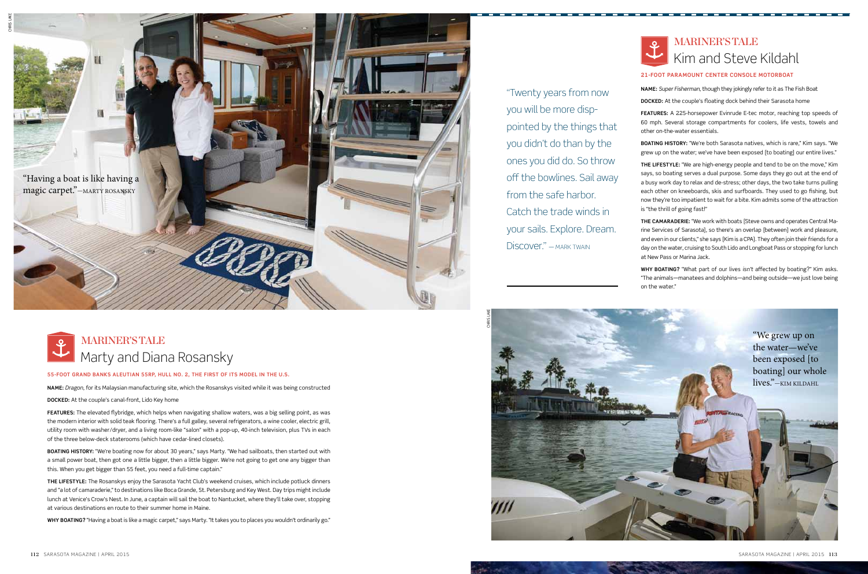**55-foot Grand Banks Aleutian 55RP, hull No. 2, the first of its model in the U.S.**

**Name:** *Dragon*, for its Malaysian manufacturing site, which the Rosanskys visited while it was being constructed

**Docked:** At the couple's canal-front, Lido Key home

**Features:** The elevated flybridge, which helps when navigating shallow waters, was a big selling point, as was the modern interior with solid teak flooring. There's a full galley, several refrigerators, a wine cooler, electric grill, utility room with washer/dryer, and a living room-like "salon" with a pop-up, 40-inch television, plus TVs in each of the three below-deck staterooms (which have cedar-lined closets).

**Boating history:** "We're boating now for about 30 years," says Marty. "We had sailboats, then started out with a small power boat, then got one a little bigger, then a little bigger. We're not going to get one any bigger than this. When you get bigger than 55 feet, you need a full-time captain."

**The lifestyle:** The Rosanskys enjoy the Sarasota Yacht Club's weekend cruises, which include potluck dinners and "a lot of camaraderie," to destinations like Boca Grande, St. Petersburg and Key West. Day trips might include lunch at Venice's Crow's Nest. In June, a captain will sail the boat to Nantucket, where they'll take over, stopping at various destinations en route to their summer home in Maine.

**Why boating?** "Having a boat is like a magic carpet," says Marty. "It takes you to places you wouldn't ordinarily go."



## **21-foot Paramount Center Console motorboat**

**Name:** *Super Fisherman*, though they jokingly refer to it as The Fish Boat

**Docked:** At the couple's floating dock behind their Sarasota home

## Marty and Diana Rosansky **MARINER'S TALE**

**Features:** A 225-horsepower Evinrude E-tec motor, reaching top speeds of 60 mph. Several storage compartments for coolers, life vests, towels and other on-the-water essentials.

**Boating history:** "We're both Sarasota natives, which is rare," Kim says. "We grew up on the water; we've have been exposed [to boating] our entire lives."

**The lifestyle:** "We are high-energy people and tend to be on the move," Kim says, so boating serves a dual purpose. Some days they go out at the end of a busy work day to relax and de-stress; other days, the two take turns pulling each other on kneeboards, skis and surfboards. They used to go fishing, but now they're too impatient to wait for a bite. Kim admits some of the attraction is "the thrill of going fast!"

## Kim and Steve Kildahl **MARINER'S TALE**

**The camaraderie:** "We work with boats [Steve owns and operates Central Marine Services of Sarasota], so there's an overlap [between] work and pleasure, and even in our clients," she says [Kim is a CPA]. They often join their friends for a day on the water, cruising to South Lido and Longboat Pass or stopping for lunch at New Pass or Marina Jack.

**Why boating?** "What part of our lives *isn't* affected by boating?" Kim asks. "The animals—manatees and dolphins—and being outside—we just love being on the water."

"Twenty years from now

you will be more disp-

pointed by the things that

you didn't do than by the

ones you did do. So throw

off the bowlines. Sail away



from the safe harbor.

Catch the trade winds in

your sails. Explore. Dream.

Discover." — Mark Twain

"We grew up on the water—we've been exposed [to boating] our whole lives."—Kim Kildahl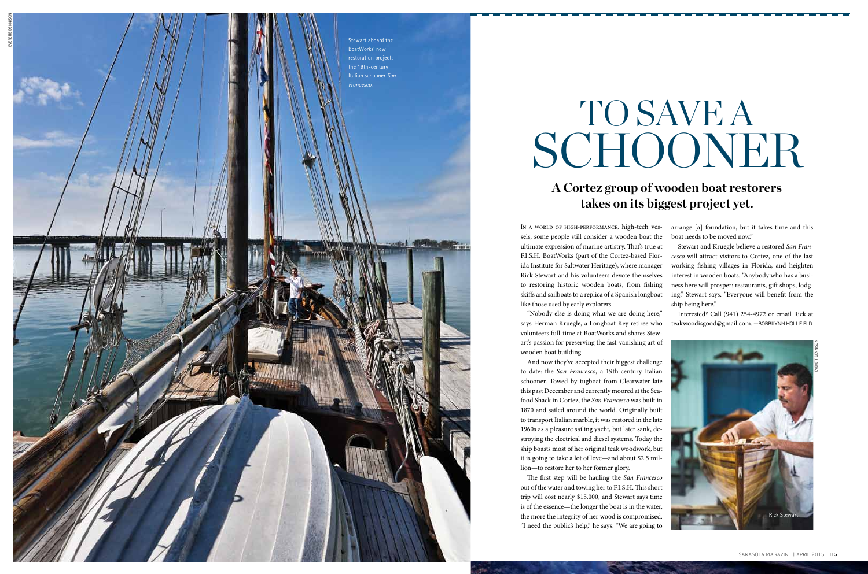In a world of high-performance, high-tech ves sels, some people still consider a wooden boat the ultimate expression of marine artistry. That's true at F.I.S.H. BoatWorks (part of the Cortez-based Flor ida Institute for Saltwater Heritage), where manager Rick Stewart and his volunteers devote themselves to restoring historic wooden boats, from fishing skiffs and sailboats to a replica of a Spanish longboat like those used by early explorers.

"Nobody else is doing what we are doing here," says Herman Kruegle, a Longboat Key retiree who volunteers full-time at BoatWorks and shares Stew art's passion for preserving the fast-vanishing art of wooden boat building.

Interested? Call (941) 254-4972 or email Rick at teakwoodisgood@gmail.com. —B0BBILYNN H0

And now they've accepted their biggest challenge to date: the *San Francesco*, a 19th-century Italian schooner. Towed by tugboat from Clearwater late this past December and currently moored at the Sea food Shack in Cortez, the *San Francesco* was built in 1870 and sailed around the world. Originally built to transport Italian marble, it was restored in the late 1960s as a pleasure sailing yacht, but later sank, de stroying the electrical and diesel systems. Today the ship boasts most of her original teak woodwork, but it is going to take a lot of love—and about \$2.5 mil lion—to restore her to her former glory.

## TO SAVE A SCHO

The first step will be hauling the *San Francesco* out of the water and towing her to F.I.S.H. This short trip will cost nearly \$15,000, and Stewart says time is of the essence—the longer the boat is in the water, the more the integrity of her wood is compromised. "I need the public's help," he says. "We are going to arrange [a] foundation, but it takes time and this boat needs to be moved now."

Stewart and Kruegle believe a restored *San Fran cesco* will attract visitors to Cortez, one of the last working fishing villages in Florida, and heighten interest in wooden boats. "Anybody who has a busi ness here will prosper: restaurants, gift shops, lodg ing," Stewart says. "Everyone will benefit from the ship being here."

## **A Cortez group of wooden boat restorers takes on its biggest project yet.**